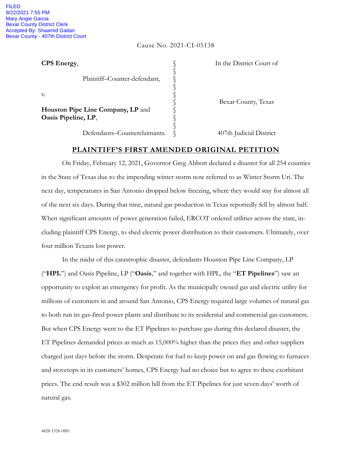## Cause No. 2021-CI-05138

| CPS Energy,                                              | In the District Court of |
|----------------------------------------------------------|--------------------------|
| Plaintiff-Counter-defendant,                             |                          |
| V.                                                       | Bexar County, Texas      |
| Houston Pipe Line Company, LP and<br>Oasis Pipeline, LP, |                          |
| Defendants-Counterclaimants.                             | 407th Judicial District  |

## **PLAINTIFF'S FIRST AMENDED ORIGINAL PETITION**

On Friday, February 12, 2021, Governor Greg Abbott declared a disaster for all 254 counties in the State of Texas due to the impending winter storm now referred to as Winter Storm Uri. The next day, temperatures in San Antonio dropped below freezing, where they would stay for almost all of the next six days. During that time, natural gas production in Texas reportedly fell by almost half. When significant amounts of power generation failed, ERCOT ordered utilities across the state, including plaintiff CPS Energy, to shed electric power distribution to their customers. Ultimately, over four million Texans lost power.

In the midst of this catastrophic disaster, defendants Houston Pipe Line Company, LP ("**HPL**") and Oasis Pipeline, LP ("**Oasis**," and together with HPL, the "**ET Pipelines**") saw an opportunity to exploit an emergency for profit. As the municipally owned gas and electric utility for millions of customers in and around San Antonio, CPS Energy required large volumes of natural gas to both run its gas-fired power plants and distribute to its residential and commercial gas customers. But when CPS Energy went to the ET Pipelines to purchase gas during this declared disaster, the ET Pipelines demanded prices as much as 15,000% higher than the prices they and other suppliers charged just days before the storm. Desperate for fuel to keep power on and gas flowing to furnaces and stovetops in its customers' homes, CPS Energy had no choice but to agree to these exorbitant prices. The end result was a \$302 million bill from the ET Pipelines for just seven days' worth of natural gas.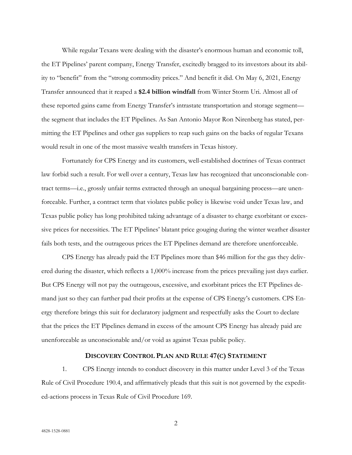While regular Texans were dealing with the disaster's enormous human and economic toll, the ET Pipelines' parent company, Energy Transfer, excitedly bragged to its investors about its ability to "benefit" from the "strong commodity prices." And benefit it did. On May 6, 2021, Energy Transfer announced that it reaped a **\$2.4 billion windfall** from Winter Storm Uri. Almost all of these reported gains came from Energy Transfer's intrastate transportation and storage segment the segment that includes the ET Pipelines. As San Antonio Mayor Ron Nirenberg has stated, permitting the ET Pipelines and other gas suppliers to reap such gains on the backs of regular Texans would result in one of the most massive wealth transfers in Texas history.

Fortunately for CPS Energy and its customers, well-established doctrines of Texas contract law forbid such a result. For well over a century, Texas law has recognized that unconscionable contract terms—i.e., grossly unfair terms extracted through an unequal bargaining process—are unenforceable. Further, a contract term that violates public policy is likewise void under Texas law, and Texas public policy has long prohibited taking advantage of a disaster to charge exorbitant or excessive prices for necessities. The ET Pipelines' blatant price gouging during the winter weather disaster fails both tests, and the outrageous prices the ET Pipelines demand are therefore unenforceable.

CPS Energy has already paid the ET Pipelines more than \$46 million for the gas they delivered during the disaster, which reflects a 1,000% increase from the prices prevailing just days earlier. But CPS Energy will not pay the outrageous, excessive, and exorbitant prices the ET Pipelines demand just so they can further pad their profits at the expense of CPS Energy's customers. CPS Energy therefore brings this suit for declaratory judgment and respectfully asks the Court to declare that the prices the ET Pipelines demand in excess of the amount CPS Energy has already paid are unenforceable as unconscionable and/or void as against Texas public policy.

## **DISCOVERY CONTROL PLAN AND RULE 47(C) STATEMENT**

1. CPS Energy intends to conduct discovery in this matter under Level 3 of the Texas Rule of Civil Procedure 190.4, and affirmatively pleads that this suit is not governed by the expedited-actions process in Texas Rule of Civil Procedure 169.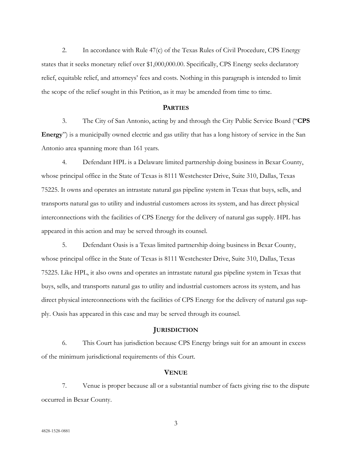2. In accordance with Rule 47(c) of the Texas Rules of Civil Procedure, CPS Energy states that it seeks monetary relief over \$1,000,000.00. Specifically, CPS Energy seeks declaratory relief, equitable relief, and attorneys' fees and costs. Nothing in this paragraph is intended to limit the scope of the relief sought in this Petition, as it may be amended from time to time.

## **PARTIES**

3. The City of San Antonio, acting by and through the City Public Service Board ("**CPS Energy**") is a municipally owned electric and gas utility that has a long history of service in the San Antonio area spanning more than 161 years.

4. Defendant HPL is a Delaware limited partnership doing business in Bexar County, whose principal office in the State of Texas is 8111 Westchester Drive, Suite 310, Dallas, Texas 75225. It owns and operates an intrastate natural gas pipeline system in Texas that buys, sells, and transports natural gas to utility and industrial customers across its system, and has direct physical interconnections with the facilities of CPS Energy for the delivery of natural gas supply. HPL has appeared in this action and may be served through its counsel.

5. Defendant Oasis is a Texas limited partnership doing business in Bexar County, whose principal office in the State of Texas is 8111 Westchester Drive, Suite 310, Dallas, Texas 75225. Like HPL, it also owns and operates an intrastate natural gas pipeline system in Texas that buys, sells, and transports natural gas to utility and industrial customers across its system, and has direct physical interconnections with the facilities of CPS Energy for the delivery of natural gas supply. Oasis has appeared in this case and may be served through its counsel.

#### **JURISDICTION**

6. This Court has jurisdiction because CPS Energy brings suit for an amount in excess of the minimum jurisdictional requirements of this Court.

## **VENUE**

7. Venue is proper because all or a substantial number of facts giving rise to the dispute occurred in Bexar County.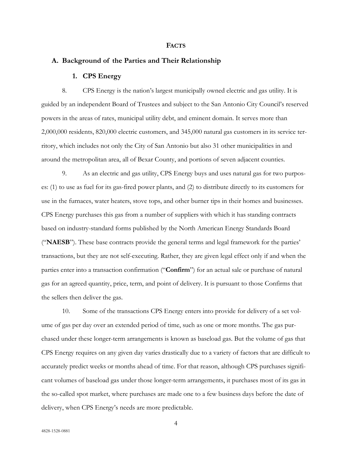#### **FACTS**

## **A. Background of the Parties and Their Relationship**

## **1. CPS Energy**

8. CPS Energy is the nation's largest municipally owned electric and gas utility. It is guided by an independent Board of Trustees and subject to the San Antonio City Council's reserved powers in the areas of rates, municipal utility debt, and eminent domain. It serves more than 2,000,000 residents, 820,000 electric customers, and 345,000 natural gas customers in its service territory, which includes not only the City of San Antonio but also 31 other municipalities in and around the metropolitan area, all of Bexar County, and portions of seven adjacent counties.

9. As an electric and gas utility, CPS Energy buys and uses natural gas for two purposes: (1) to use as fuel for its gas-fired power plants, and (2) to distribute directly to its customers for use in the furnaces, water heaters, stove tops, and other burner tips in their homes and businesses. CPS Energy purchases this gas from a number of suppliers with which it has standing contracts based on industry-standard forms published by the North American Energy Standards Board ("**NAESB**"). These base contracts provide the general terms and legal framework for the parties' transactions, but they are not self-executing. Rather, they are given legal effect only if and when the parties enter into a transaction confirmation ("**Confirm**") for an actual sale or purchase of natural gas for an agreed quantity, price, term, and point of delivery. It is pursuant to those Confirms that the sellers then deliver the gas.

10. Some of the transactions CPS Energy enters into provide for delivery of a set volume of gas per day over an extended period of time, such as one or more months. The gas purchased under these longer-term arrangements is known as baseload gas. But the volume of gas that CPS Energy requires on any given day varies drastically due to a variety of factors that are difficult to accurately predict weeks or months ahead of time. For that reason, although CPS purchases significant volumes of baseload gas under those longer-term arrangements, it purchases most of its gas in the so-called spot market, where purchases are made one to a few business days before the date of delivery, when CPS Energy's needs are more predictable.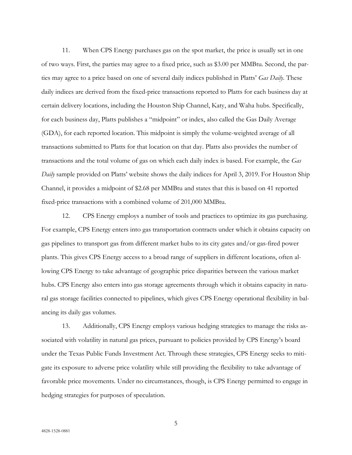11. When CPS Energy purchases gas on the spot market, the price is usually set in one of two ways. First, the parties may agree to a fixed price, such as \$3.00 per MMBtu. Second, the parties may agree to a price based on one of several daily indices published in Platts' *Gas Daily*. These daily indices are derived from the fixed-price transactions reported to Platts for each business day at certain delivery locations, including the Houston Ship Channel, Katy, and Waha hubs. Specifically, for each business day, Platts publishes a "midpoint" or index, also called the Gas Daily Average (GDA), for each reported location. This midpoint is simply the volume-weighted average of all transactions submitted to Platts for that location on that day. Platts also provides the number of transactions and the total volume of gas on which each daily index is based. For example, the *Gas Daily* sample provided on Platts' website shows the daily indices for April 3, 2019. For Houston Ship Channel, it provides a midpoint of \$2.68 per MMBtu and states that this is based on 41 reported fixed-price transactions with a combined volume of 201,000 MMBtu.

12. CPS Energy employs a number of tools and practices to optimize its gas purchasing. For example, CPS Energy enters into gas transportation contracts under which it obtains capacity on gas pipelines to transport gas from different market hubs to its city gates and/or gas-fired power plants. This gives CPS Energy access to a broad range of suppliers in different locations, often allowing CPS Energy to take advantage of geographic price disparities between the various market hubs. CPS Energy also enters into gas storage agreements through which it obtains capacity in natural gas storage facilities connected to pipelines, which gives CPS Energy operational flexibility in balancing its daily gas volumes.

13. Additionally, CPS Energy employs various hedging strategies to manage the risks associated with volatility in natural gas prices, pursuant to policies provided by CPS Energy's board under the Texas Public Funds Investment Act. Through these strategies, CPS Energy seeks to mitigate its exposure to adverse price volatility while still providing the flexibility to take advantage of favorable price movements. Under no circumstances, though, is CPS Energy permitted to engage in hedging strategies for purposes of speculation.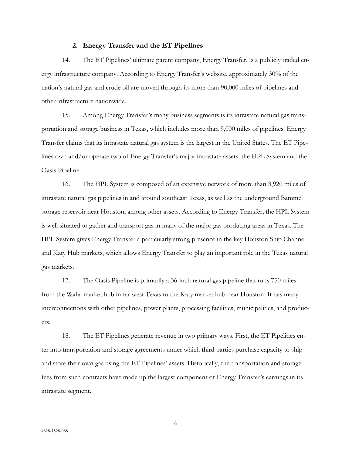#### **2. Energy Transfer and the ET Pipelines**

14. The ET Pipelines' ultimate parent company, Energy Transfer, is a publicly traded energy infrastructure company. According to Energy Transfer's website, approximately 30% of the nation's natural gas and crude oil are moved through its more than 90,000 miles of pipelines and other infrastructure nationwide.

15. Among Energy Transfer's many business segments is its intrastate natural gas transportation and storage business in Texas, which includes more than 9,000 miles of pipelines. Energy Transfer claims that its intrastate natural gas system is the largest in the United States. The ET Pipelines own and/or operate two of Energy Transfer's major intrastate assets: the HPL System and the Oasis Pipeline.

16. The HPL System is composed of an extensive network of more than 3,920 miles of intrastate natural gas pipelines in and around southeast Texas, as well as the underground Bammel storage reservoir near Houston, among other assets. According to Energy Transfer, the HPL System is well situated to gather and transport gas in many of the major gas producing areas in Texas. The HPL System gives Energy Transfer a particularly strong presence in the key Houston Ship Channel and Katy Hub markets, which allows Energy Transfer to play an important role in the Texas natural gas markets.

17. The Oasis Pipeline is primarily a 36-inch natural gas pipeline that runs 750 miles from the Waha market hub in far west Texas to the Katy market hub near Houston. It has many interconnections with other pipelines, power plants, processing facilities, municipalities, and producers.

18. The ET Pipelines generate revenue in two primary ways. First, the ET Pipelines enter into transportation and storage agreements under which third parties purchase capacity to ship and store their own gas using the ET Pipelines' assets. Historically, the transportation and storage fees from such contracts have made up the largest component of Energy Transfer's earnings in its intrastate segment.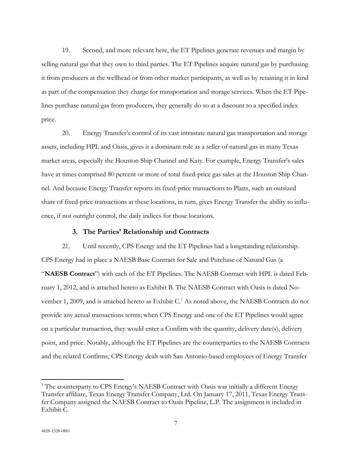19. Second, and more relevant here, the ET Pipelines generate revenues and margin by selling natural gas that they own to third parties. The ET Pipelines acquire natural gas by purchasing it from producers at the wellhead or from other market participants, as well as by retaining it in kind as part of the compensation they charge for transportation and storage services. When the ET Pipelines purchase natural gas from producers, they generally do so at a discount to a specified index price.

20. Energy Transfer's control of its vast intrastate natural gas transportation and storage assets, including HPL and Oasis, gives it a dominant role as a seller of natural gas in many Texas market areas, especially the Houston Ship Channel and Katy. For example, Energy Transfer's sales have at times comprised 80 percent or more of total fixed-price gas sales at the Houston Ship Channel. And because Energy Transfer reports its fixed-price transactions to Platts, such an outsized share of fixed-price transactions at these locations, in turn, gives Energy Transfer the ability to influence, if not outright control, the daily indices for those locations.

#### **3. The Parties' Relationship and Contracts**

21. Until recently, CPS Energy and the ET Pipelines had a longstanding relationship. CPS Energy had in place a NAESB Base Contract for Sale and Purchase of Natural Gas (a "**NAESB Contract**") with each of the ET Pipelines. The NAESB Contract with HPL is dated February 1, 2012, and is attached hereto as Exhibit B. The NAESB Contract with Oasis is dated November 1, 2009, and is attached hereto as Exhibit C. [1](#page-6-0) As noted above, the NAESB Contracts do not provide any actual transactions terms; when CPS Energy and one of the ET Pipelines would agree on a particular transaction, they would enter a Confirm with the quantity, delivery date(s), delivery point, and price. Notably, although the ET Pipelines are the counterparties to the NAESB Contracts and the related Confirms, CPS Energy dealt with San Antonio-based employees of Energy Transfer

 $\overline{a}$ 

<span id="page-6-0"></span><sup>&</sup>lt;sup>1</sup> The counterparty to CPS Energy's NAESB Contract with Oasis was initially a different Energy Transfer affiliate, Texas Energy Transfer Company, Ltd. On January 17, 2011, Texas Energy Transfer Company assigned the NAESB Contract to Oasis Pipeline, L.P. The assignment is included in Exhibit C.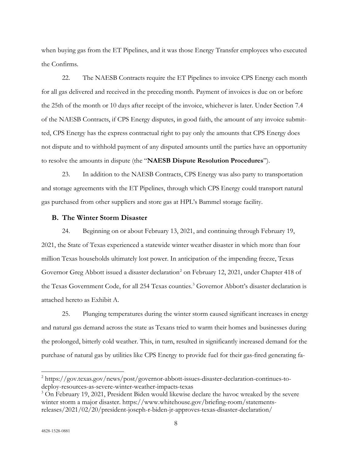when buying gas from the ET Pipelines, and it was those Energy Transfer employees who executed the Confirms.

22. The NAESB Contracts require the ET Pipelines to invoice CPS Energy each month for all gas delivered and received in the preceding month. Payment of invoices is due on or before the 25th of the month or 10 days after receipt of the invoice, whichever is later. Under Section 7.4 of the NAESB Contracts, if CPS Energy disputes, in good faith, the amount of any invoice submitted, CPS Energy has the express contractual right to pay only the amounts that CPS Energy does not dispute and to withhold payment of any disputed amounts until the parties have an opportunity to resolve the amounts in dispute (the "**NAESB Dispute Resolution Procedures**").

23. In addition to the NAESB Contracts, CPS Energy was also party to transportation and storage agreements with the ET Pipelines, through which CPS Energy could transport natural gas purchased from other suppliers and store gas at HPL's Bammel storage facility.

# **B. The Winter Storm Disaster**

24. Beginning on or about February 13, 2021, and continuing through February 19, 2021, the State of Texas experienced a statewide winter weather disaster in which more than four million Texas households ultimately lost power. In anticipation of the impending freeze, Texas Governor Greg Abbott issued a disaster declaration<sup>[2](#page-7-0)</sup> on February 12, 2021, under Chapter 418 of the Texas Government Code, for all 254 Texas counties. [3](#page-7-1) Governor Abbott's disaster declaration is attached hereto as Exhibit A.

25. Plunging temperatures during the winter storm caused significant increases in energy and natural gas demand across the state as Texans tried to warm their homes and businesses during the prolonged, bitterly cold weather. This, in turn, resulted in significantly increased demand for the purchase of natural gas by utilities like CPS Energy to provide fuel for their gas-fired generating fa-

 $\overline{a}$ 

<span id="page-7-0"></span><sup>2</sup> https://gov.texas.gov/news/post/governor-abbott-issues-disaster-declaration-continues-todeploy-resources-as-severe-winter-weather-impacts-texas

<span id="page-7-1"></span><sup>&</sup>lt;sup>3</sup> On February 19, 2021, President Biden would likewise declare the havoc wreaked by the severe winter storm a major disaster. https://www.whitehouse.gov/briefing-room/statementsreleases/2021/02/20/president-joseph-r-biden-jr-approves-texas-disaster-declaration/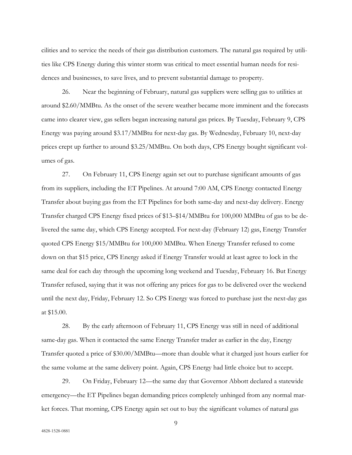cilities and to service the needs of their gas distribution customers. The natural gas required by utilities like CPS Energy during this winter storm was critical to meet essential human needs for residences and businesses, to save lives, and to prevent substantial damage to property.

26. Near the beginning of February, natural gas suppliers were selling gas to utilities at around \$2.60/MMBtu. As the onset of the severe weather became more imminent and the forecasts came into clearer view, gas sellers began increasing natural gas prices. By Tuesday, February 9, CPS Energy was paying around \$3.17/MMBtu for next-day gas. By Wednesday, February 10, next-day prices crept up further to around \$3.25/MMBtu. On both days, CPS Energy bought significant volumes of gas.

27. On February 11, CPS Energy again set out to purchase significant amounts of gas from its suppliers, including the ET Pipelines. At around 7:00 AM, CPS Energy contacted Energy Transfer about buying gas from the ET Pipelines for both same-day and next-day delivery. Energy Transfer charged CPS Energy fixed prices of \$13–\$14/MMBtu for 100,000 MMBtu of gas to be delivered the same day, which CPS Energy accepted. For next-day (February 12) gas, Energy Transfer quoted CPS Energy \$15/MMBtu for 100,000 MMBtu. When Energy Transfer refused to come down on that \$15 price, CPS Energy asked if Energy Transfer would at least agree to lock in the same deal for each day through the upcoming long weekend and Tuesday, February 16. But Energy Transfer refused, saying that it was not offering any prices for gas to be delivered over the weekend until the next day, Friday, February 12. So CPS Energy was forced to purchase just the next-day gas at \$15.00.

28. By the early afternoon of February 11, CPS Energy was still in need of additional same-day gas. When it contacted the same Energy Transfer trader as earlier in the day, Energy Transfer quoted a price of \$30.00/MMBtu—more than double what it charged just hours earlier for the same volume at the same delivery point. Again, CPS Energy had little choice but to accept.

29. On Friday, February 12—the same day that Governor Abbott declared a statewide emergency—the ET Pipelines began demanding prices completely unhinged from any normal market forces. That morning, CPS Energy again set out to buy the significant volumes of natural gas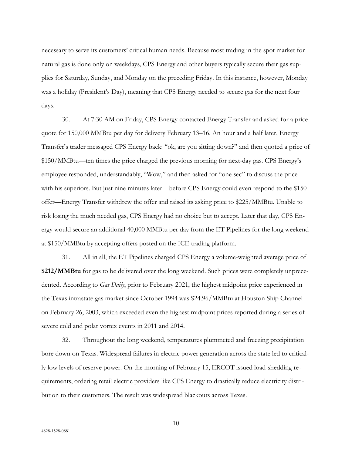necessary to serve its customers' critical human needs. Because most trading in the spot market for natural gas is done only on weekdays, CPS Energy and other buyers typically secure their gas supplies for Saturday, Sunday, and Monday on the preceding Friday. In this instance, however, Monday was a holiday (President's Day), meaning that CPS Energy needed to secure gas for the next four days.

30. At 7:30 AM on Friday, CPS Energy contacted Energy Transfer and asked for a price quote for 150,000 MMBtu per day for delivery February 13–16. An hour and a half later, Energy Transfer's trader messaged CPS Energy back: "ok, are you sitting down?" and then quoted a price of \$150/MMBtu—ten times the price charged the previous morning for next-day gas. CPS Energy's employee responded, understandably, "Wow," and then asked for "one sec" to discuss the price with his superiors. But just nine minutes later—before CPS Energy could even respond to the \$150 offer—Energy Transfer withdrew the offer and raised its asking price to \$225/MMBtu. Unable to risk losing the much needed gas, CPS Energy had no choice but to accept. Later that day, CPS Energy would secure an additional 40,000 MMBtu per day from the ET Pipelines for the long weekend at \$150/MMBtu by accepting offers posted on the ICE trading platform.

31. All in all, the ET Pipelines charged CPS Energy a volume-weighted average price of **\$212/MMBtu** for gas to be delivered over the long weekend. Such prices were completely unprecedented. According to *Gas Daily*, prior to February 2021, the highest midpoint price experienced in the Texas intrastate gas market since October 1994 was \$24.96/MMBtu at Houston Ship Channel on February 26, 2003, which exceeded even the highest midpoint prices reported during a series of severe cold and polar vortex events in 2011 and 2014.

32. Throughout the long weekend, temperatures plummeted and freezing precipitation bore down on Texas. Widespread failures in electric power generation across the state led to critically low levels of reserve power. On the morning of February 15, ERCOT issued load-shedding requirements, ordering retail electric providers like CPS Energy to drastically reduce electricity distribution to their customers. The result was widespread blackouts across Texas.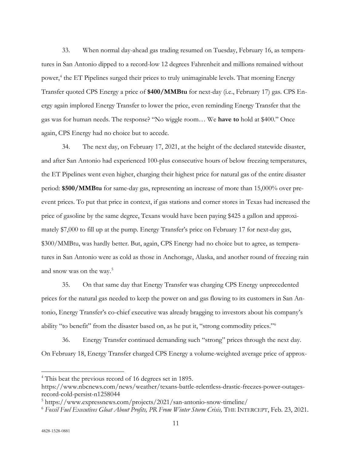33. When normal day-ahead gas trading resumed on Tuesday, February 16, as temperatures in San Antonio dipped to a record-low 12 degrees Fahrenheit and millions remained without power,<sup>[4](#page-10-0)</sup> the ET Pipelines surged their prices to truly unimaginable levels. That morning Energy Transfer quoted CPS Energy a price of **\$400/MMBtu** for next-day (i.e., February 17) gas. CPS Energy again implored Energy Transfer to lower the price, even reminding Energy Transfer that the gas was for human needs. The response? "No wiggle room… We **have to** hold at \$400." Once again, CPS Energy had no choice but to accede.

34. The next day, on February 17, 2021, at the height of the declared statewide disaster, and after San Antonio had experienced 100-plus consecutive hours of below freezing temperatures, the ET Pipelines went even higher, charging their highest price for natural gas of the entire disaster period: **\$500/MMBtu** for same-day gas, representing an increase of more than 15,000% over preevent prices. To put that price in context, if gas stations and corner stores in Texas had increased the price of gasoline by the same degree, Texans would have been paying \$425 a gallon and approximately \$7,000 to fill up at the pump. Energy Transfer's price on February 17 for next-day gas, \$300/MMBtu, was hardly better. But, again, CPS Energy had no choice but to agree, as temperatures in San Antonio were as cold as those in Anchorage, Alaska, and another round of freezing rain and snow was on the way. [5](#page-10-1)

35. On that same day that Energy Transfer was charging CPS Energy unprecedented prices for the natural gas needed to keep the power on and gas flowing to its customers in San Antonio, Energy Transfer's co-chief executive was already bragging to investors about his company's ability "to benefit" from the disaster based on, as he put it, "strong commodity prices."[6](#page-10-2)

36. Energy Transfer continued demanding such "strong" prices through the next day. On February 18, Energy Transfer charged CPS Energy a volume-weighted average price of approx-

 $\overline{a}$ 

<span id="page-10-0"></span><sup>4</sup> This beat the previous record of 16 degrees set in 1895.

https://www.nbcnews.com/news/weather/texans-battle-relentless-drastic-freezes-power-outagesrecord-cold-persist-n1258044

<span id="page-10-1"></span><sup>5</sup> https://www.expressnews.com/projects/2021/san-antonio-snow-timeline/

<span id="page-10-2"></span><sup>6</sup> *Fossil Fuel Executives Gloat About Profits, PR From Winter Storm Crisis,* THE INTERCEPT, Feb. 23, 2021.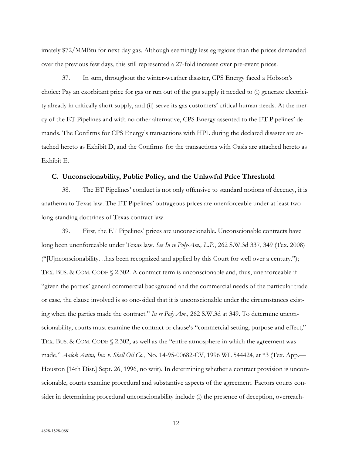imately \$72/MMBtu for next-day gas. Although seemingly less egregious than the prices demanded over the previous few days, this still represented a 27-fold increase over pre-event prices.

37. In sum, throughout the winter-weather disaster, CPS Energy faced a Hobson's choice: Pay an exorbitant price for gas or run out of the gas supply it needed to (i) generate electricity already in critically short supply, and (ii) serve its gas customers' critical human needs. At the mercy of the ET Pipelines and with no other alternative, CPS Energy assented to the ET Pipelines' demands. The Confirms for CPS Energy's transactions with HPL during the declared disaster are attached hereto as Exhibit D, and the Confirms for the transactions with Oasis are attached hereto as Exhibit E.

## **C. Unconscionability, Public Policy, and the Unlawful Price Threshold**

38. The ET Pipelines' conduct is not only offensive to standard notions of decency, it is anathema to Texas law. The ET Pipelines' outrageous prices are unenforceable under at least two long-standing doctrines of Texas contract law.

39. First, the ET Pipelines' prices are unconscionable. Unconscionable contracts have long been unenforceable under Texas law. *See In re Poly-Am., L.P.*, 262 S.W.3d 337, 349 (Tex. 2008) ("[U]nconscionability…has been recognized and applied by this Court for well over a century."); TEX. BUS. & COM. CODE § 2.302. A contract term is unconscionable and, thus, unenforceable if "given the parties' general commercial background and the commercial needs of the particular trade or case, the clause involved is so one-sided that it is unconscionable under the circumstances existing when the parties made the contract." *In re Poly Am.*, 262 S.W.3d at 349. To determine unconscionability, courts must examine the contract or clause's "commercial setting, purpose and effect," TEX. BUS. & COM. CODE § 2.302, as well as the "entire atmosphere in which the agreement was made," *Aalok Anita, Inc. v. Shell Oil Co.*, No. 14-95-00682-CV, 1996 WL 544424, at \*3 (Tex. App.— Houston [14th Dist.] Sept. 26, 1996, no writ). In determining whether a contract provision is unconscionable, courts examine procedural and substantive aspects of the agreement. Factors courts consider in determining procedural unconscionability include (i) the presence of deception, overreach-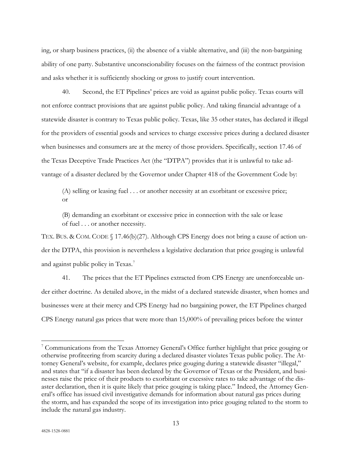ing, or sharp business practices, (ii) the absence of a viable alternative, and (iii) the non-bargaining ability of one party. Substantive unconscionability focuses on the fairness of the contract provision and asks whether it is sufficiently shocking or gross to justify court intervention.

40. Second, the ET Pipelines' prices are void as against public policy. Texas courts will not enforce contract provisions that are against public policy. And taking financial advantage of a statewide disaster is contrary to Texas public policy. Texas, like 35 other states, has declared it illegal for the providers of essential goods and services to charge excessive prices during a declared disaster when businesses and consumers are at the mercy of those providers. Specifically, section 17.46 of the Texas Deceptive Trade Practices Act (the "DTPA") provides that it is unlawful to take advantage of a disaster declared by the Governor under Chapter 418 of the Government Code by:

(A) selling or leasing fuel . . . or another necessity at an exorbitant or excessive price; or

(B) demanding an exorbitant or excessive price in connection with the sale or lease of fuel . . . or another necessity.

TEX. BUS. & COM. CODE § 17.46(b)(27). Although CPS Energy does not bring a cause of action under the DTPA, this provision is nevertheless a legislative declaration that price gouging is unlawful and against public policy in Texas.<sup>[7](#page-12-0)</sup>

41. The prices that the ET Pipelines extracted from CPS Energy are unenforceable under either doctrine. As detailed above, in the midst of a declared statewide disaster, when homes and businesses were at their mercy and CPS Energy had no bargaining power, the ET Pipelines charged CPS Energy natural gas prices that were more than 15,000% of prevailing prices before the winter

 $\overline{a}$ 

<span id="page-12-0"></span><sup>&</sup>lt;sup>7</sup> Communications from the Texas Attorney General's Office further highlight that price gouging or otherwise profiteering from scarcity during a declared disaster violates Texas public policy. The Attorney General's website, for example, declares price gouging during a statewide disaster "illegal," and states that "if a disaster has been declared by the Governor of Texas or the President, and businesses raise the price of their products to exorbitant or excessive rates to take advantage of the disaster declaration, then it is quite likely that price gouging is taking place." Indeed, the Attorney General's office has issued civil investigative demands for information about natural gas prices during the storm, and has expanded the scope of its investigation into price gouging related to the storm to include the natural gas industry.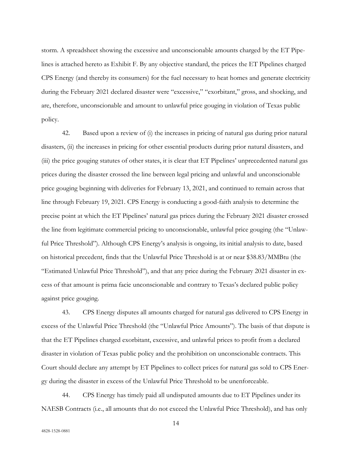storm. A spreadsheet showing the excessive and unconscionable amounts charged by the ET Pipelines is attached hereto as Exhibit F. By any objective standard, the prices the ET Pipelines charged CPS Energy (and thereby its consumers) for the fuel necessary to heat homes and generate electricity during the February 2021 declared disaster were "excessive," "exorbitant," gross, and shocking, and are, therefore, unconscionable and amount to unlawful price gouging in violation of Texas public policy.

42. Based upon a review of (i) the increases in pricing of natural gas during prior natural disasters, (ii) the increases in pricing for other essential products during prior natural disasters, and (iii) the price gouging statutes of other states, it is clear that ET Pipelines' unprecedented natural gas prices during the disaster crossed the line between legal pricing and unlawful and unconscionable price gouging beginning with deliveries for February 13, 2021, and continued to remain across that line through February 19, 2021. CPS Energy is conducting a good-faith analysis to determine the precise point at which the ET Pipelines' natural gas prices during the February 2021 disaster crossed the line from legitimate commercial pricing to unconscionable, unlawful price gouging (the "Unlawful Price Threshold"). Although CPS Energy's analysis is ongoing, its initial analysis to date, based on historical precedent, finds that the Unlawful Price Threshold is at or near \$38.83/MMBtu (the "Estimated Unlawful Price Threshold"), and that any price during the February 2021 disaster in excess of that amount is prima facie unconscionable and contrary to Texas's declared public policy against price gouging.

43. CPS Energy disputes all amounts charged for natural gas delivered to CPS Energy in excess of the Unlawful Price Threshold (the "Unlawful Price Amounts"). The basis of that dispute is that the ET Pipelines charged exorbitant, excessive, and unlawful prices to profit from a declared disaster in violation of Texas public policy and the prohibition on unconscionable contracts. This Court should declare any attempt by ET Pipelines to collect prices for natural gas sold to CPS Energy during the disaster in excess of the Unlawful Price Threshold to be unenforceable.

44. CPS Energy has timely paid all undisputed amounts due to ET Pipelines under its NAESB Contracts (i.e., all amounts that do not exceed the Unlawful Price Threshold), and has only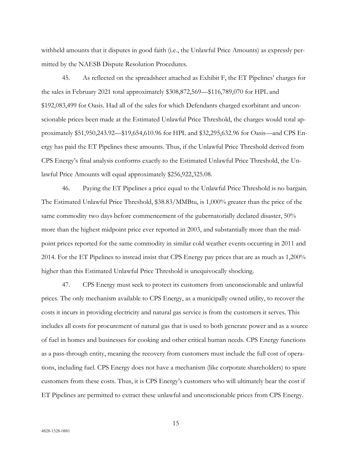withheld amounts that it disputes in good faith (i.e., the Unlawful Price Amounts) as expressly permitted by the NAESB Dispute Resolution Procedures.

45. As reflected on the spreadsheet attached as Exhibit F, the ET Pipelines' charges for the sales in February 2021 total approximately \$308,872,569—\$116,789,070 for HPL and \$192,083,499 for Oasis. Had all of the sales for which Defendants charged exorbitant and unconscionable prices been made at the Estimated Unlawful Price Threshold, the charges would total approximately \$51,950,243.92—\$19,654,610.96 for HPL and \$32,295,632.96 for Oasis—and CPS Energy has paid the ET Pipelines these amounts. Thus, if the Unlawful Price Threshold derived from CPS Energy's final analysis conforms exactly to the Estimated Unlawful Price Threshold, the Unlawful Price Amounts will equal approximately \$256,922,325.08.

46. Paying the ET Pipelines a price equal to the Unlawful Price Threshold is no bargain. The Estimated Unlawful Price Threshold, \$38.83/MMBtu, is 1,000% greater than the price of the same commodity two days before commencement of the gubernatorially declared disaster, 50% more than the highest midpoint price ever reported in 2003, and substantially more than the midpoint prices reported for the same commodity in similar cold weather events occurring in 2011 and 2014. For the ET Pipelines to instead insist that CPS Energy pay prices that are as much as 1,200% higher than this Estimated Unlawful Price Threshold is unequivocally shocking.

47. CPS Energy must seek to protect its customers from unconscionable and unlawful prices. The only mechanism available to CPS Energy, as a municipally owned utility, to recover the costs it incurs in providing electricity and natural gas service is from the customers it serves. This includes all costs for procurement of natural gas that is used to both generate power and as a source of fuel in homes and businesses for cooking and other critical human needs. CPS Energy functions as a pass-through entity, meaning the recovery from customers must include the full cost of operations, including fuel. CPS Energy does not have a mechanism (like corporate shareholders) to spare customers from these costs. Thus, it is CPS Energy's customers who will ultimately bear the cost if ET Pipelines are permitted to extract these unlawful and unconscionable prices from CPS Energy.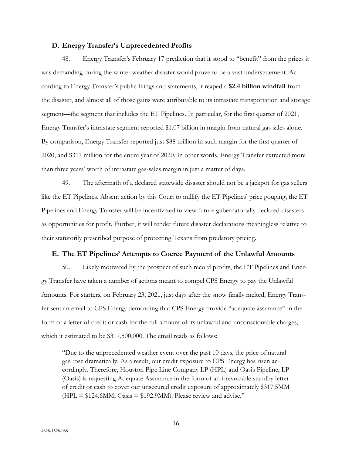# **D. Energy Transfer's Unprecedented Profits**

48. Energy Transfer's February 17 prediction that it stood to "benefit" from the prices it was demanding during the winter weather disaster would prove to be a vast understatement. According to Energy Transfer's public filings and statements, it reaped a **\$2.4 billion windfall** from the disaster, and almost all of those gains were attributable to its intrastate transportation and storage segment—the segment that includes the ET Pipelines. In particular, for the first quarter of 2021, Energy Transfer's intrastate segment reported \$1.07 billion in margin from natural gas sales alone. By comparison, Energy Transfer reported just \$88 million in such margin for the first quarter of 2020, and \$317 million for the entire year of 2020. In other words, Energy Transfer extracted more than three years' worth of intrastate gas-sales margin in just a matter of days.

49. The aftermath of a declared statewide disaster should not be a jackpot for gas sellers like the ET Pipelines. Absent action by this Court to nullify the ET Pipelines' price gouging, the ET Pipelines and Energy Transfer will be incentivized to view future gubernatorially declared disasters as opportunities for profit. Further, it will render future disaster declarations meaningless relative to their statutorily prescribed purpose of protecting Texans from predatory pricing.

## **E. The ET Pipelines' Attempts to Coerce Payment of the Unlawful Amounts**

50. Likely motivated by the prospect of such record profits, the ET Pipelines and Energy Transfer have taken a number of actions meant to compel CPS Energy to pay the Unlawful Amounts. For starters, on February 23, 2021, just days after the snow finally melted, Energy Transfer sent an email to CPS Energy demanding that CPS Energy provide "adequate assurance" in the form of a letter of credit or cash for the full amount of its unlawful and unconscionable charges, which it estimated to be \$317,500,000. The email reads as follows:

"Due to the unprecedented weather event over the past 10 days, the price of natural gas rose dramatically. As a result, our credit exposure to CPS Energy has risen accordingly. Therefore, Houston Pipe Line Company LP (HPL) and Oasis Pipeline, LP (Oasis) is requesting Adequate Assurance in the form of an irrevocable standby letter of credit or cash to cover our unsecured credit exposure of approximately \$317.5MM  $(HPL = $124.6MM; Oasis = $192.9MM).$  Please review and advise."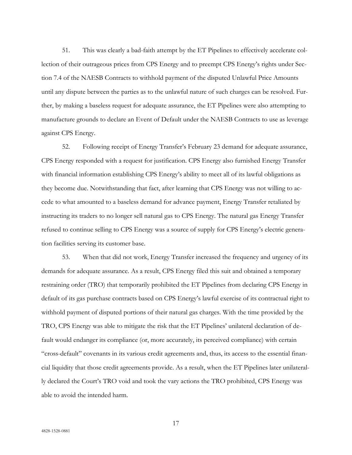51. This was clearly a bad-faith attempt by the ET Pipelines to effectively accelerate collection of their outrageous prices from CPS Energy and to preempt CPS Energy's rights under Section 7.4 of the NAESB Contracts to withhold payment of the disputed Unlawful Price Amounts until any dispute between the parties as to the unlawful nature of such charges can be resolved. Further, by making a baseless request for adequate assurance, the ET Pipelines were also attempting to manufacture grounds to declare an Event of Default under the NAESB Contracts to use as leverage against CPS Energy.

52. Following receipt of Energy Transfer's February 23 demand for adequate assurance, CPS Energy responded with a request for justification. CPS Energy also furnished Energy Transfer with financial information establishing CPS Energy's ability to meet all of its lawful obligations as they become due. Notwithstanding that fact, after learning that CPS Energy was not willing to accede to what amounted to a baseless demand for advance payment, Energy Transfer retaliated by instructing its traders to no longer sell natural gas to CPS Energy. The natural gas Energy Transfer refused to continue selling to CPS Energy was a source of supply for CPS Energy's electric generation facilities serving its customer base.

53. When that did not work, Energy Transfer increased the frequency and urgency of its demands for adequate assurance. As a result, CPS Energy filed this suit and obtained a temporary restraining order (TRO) that temporarily prohibited the ET Pipelines from declaring CPS Energy in default of its gas purchase contracts based on CPS Energy's lawful exercise of its contractual right to withhold payment of disputed portions of their natural gas charges. With the time provided by the TRO, CPS Energy was able to mitigate the risk that the ET Pipelines' unilateral declaration of default would endanger its compliance (or, more accurately, its perceived compliance) with certain "cross-default" covenants in its various credit agreements and, thus, its access to the essential financial liquidity that those credit agreements provide. As a result, when the ET Pipelines later unilaterally declared the Court's TRO void and took the vary actions the TRO prohibited, CPS Energy was able to avoid the intended harm.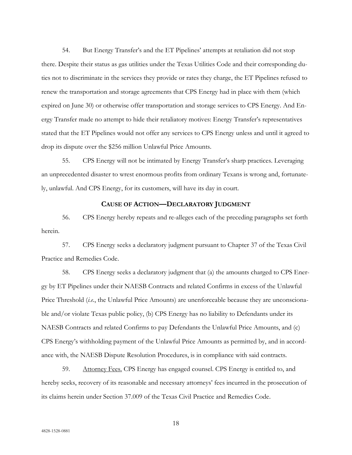54. But Energy Transfer's and the ET Pipelines' attempts at retaliation did not stop there. Despite their status as gas utilities under the Texas Utilities Code and their corresponding duties not to discriminate in the services they provide or rates they charge, the ET Pipelines refused to renew the transportation and storage agreements that CPS Energy had in place with them (which expired on June 30) or otherwise offer transportation and storage services to CPS Energy. And Energy Transfer made no attempt to hide their retaliatory motives: Energy Transfer's representatives stated that the ET Pipelines would not offer any services to CPS Energy unless and until it agreed to drop its dispute over the \$256 million Unlawful Price Amounts.

55. CPS Energy will not be intimated by Energy Transfer's sharp practices. Leveraging an unprecedented disaster to wrest enormous profits from ordinary Texans is wrong and, fortunately, unlawful. And CPS Energy, for its customers, will have its day in court.

## **CAUSE OF ACTION—DECLARATORY JUDGMENT**

56. CPS Energy hereby repeats and re-alleges each of the preceding paragraphs set forth herein.

57. CPS Energy seeks a declaratory judgment pursuant to Chapter 37 of the Texas Civil Practice and Remedies Code.

58. CPS Energy seeks a declaratory judgment that (a) the amounts charged to CPS Energy by ET Pipelines under their NAESB Contracts and related Confirms in excess of the Unlawful Price Threshold (*i.e.*, the Unlawful Price Amounts) are unenforceable because they are unconscionable and/or violate Texas public policy, (b) CPS Energy has no liability to Defendants under its NAESB Contracts and related Confirms to pay Defendants the Unlawful Price Amounts, and (c) CPS Energy's withholding payment of the Unlawful Price Amounts as permitted by, and in accordance with, the NAESB Dispute Resolution Procedures, is in compliance with said contracts.

59. Attorney Fees. CPS Energy has engaged counsel. CPS Energy is entitled to, and hereby seeks, recovery of its reasonable and necessary attorneys' fees incurred in the prosecution of its claims herein under Section 37.009 of the Texas Civil Practice and Remedies Code.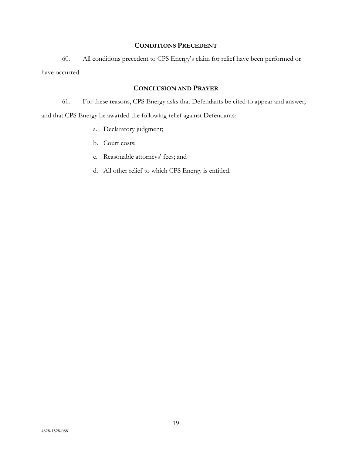# **CONDITIONS PRECEDENT**

60. All conditions precedent to CPS Energy's claim for relief have been performed or have occurred.

# **CONCLUSION AND PRAYER**

61. For these reasons, CPS Energy asks that Defendants be cited to appear and answer, and that CPS Energy be awarded the following relief against Defendants:

- a. Declaratory judgment;
- b. Court costs;
- c. Reasonable attorneys' fees; and
- d. All other relief to which CPS Energy is entitled.